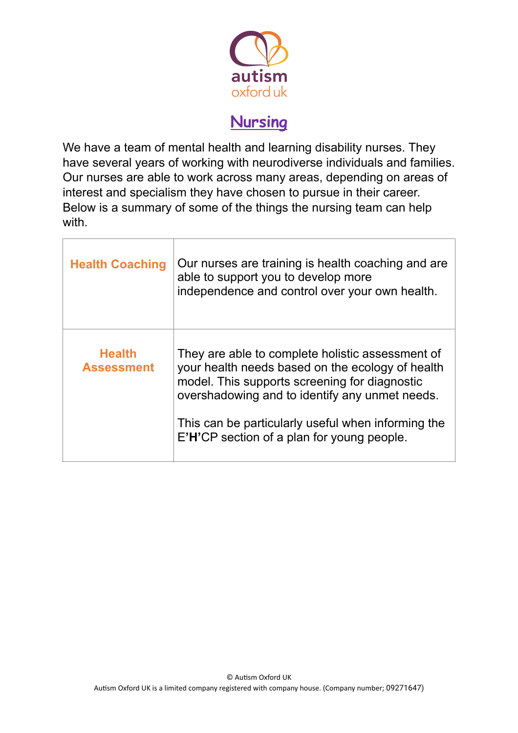

## **Nursing**

We have a team of mental health and learning disability nurses. They have several years of working with neurodiverse individuals and families. Our nurses are able to work across many areas, depending on areas of interest and specialism they have chosen to pursue in their career. Below is a summary of some of the things the nursing team can help with.

| <b>Health Coaching</b>             | Our nurses are training is health coaching and are<br>able to support you to develop more<br>independence and control over your own health.                                                                                                                                                                 |
|------------------------------------|-------------------------------------------------------------------------------------------------------------------------------------------------------------------------------------------------------------------------------------------------------------------------------------------------------------|
| <b>Health</b><br><b>Assessment</b> | They are able to complete holistic assessment of<br>your health needs based on the ecology of health<br>model. This supports screening for diagnostic<br>overshadowing and to identify any unmet needs.<br>This can be particularly useful when informing the<br>E'H'CP section of a plan for young people. |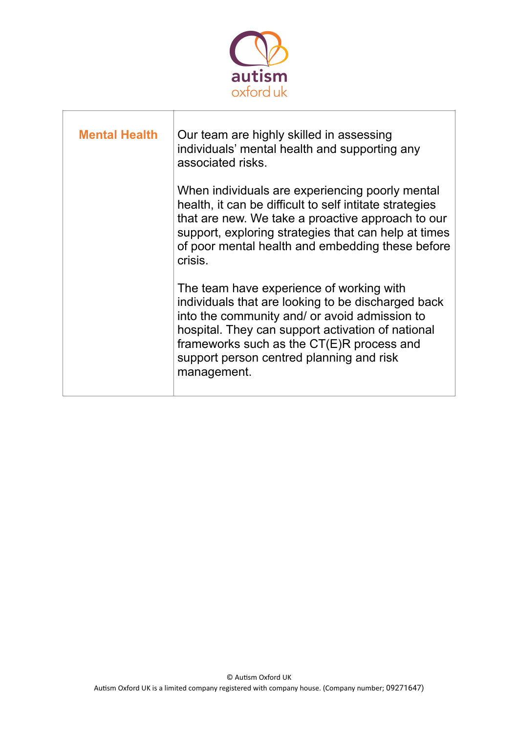

| <b>Mental Health</b> | Our team are highly skilled in assessing<br>individuals' mental health and supporting any<br>associated risks.                                                                                                                                                                                               |
|----------------------|--------------------------------------------------------------------------------------------------------------------------------------------------------------------------------------------------------------------------------------------------------------------------------------------------------------|
|                      | When individuals are experiencing poorly mental<br>health, it can be difficult to self intitate strategies<br>that are new. We take a proactive approach to our<br>support, exploring strategies that can help at times<br>of poor mental health and embedding these before<br>crisis.                       |
|                      | The team have experience of working with<br>individuals that are looking to be discharged back<br>into the community and/ or avoid admission to<br>hospital. They can support activation of national<br>frameworks such as the CT(E)R process and<br>support person centred planning and risk<br>management. |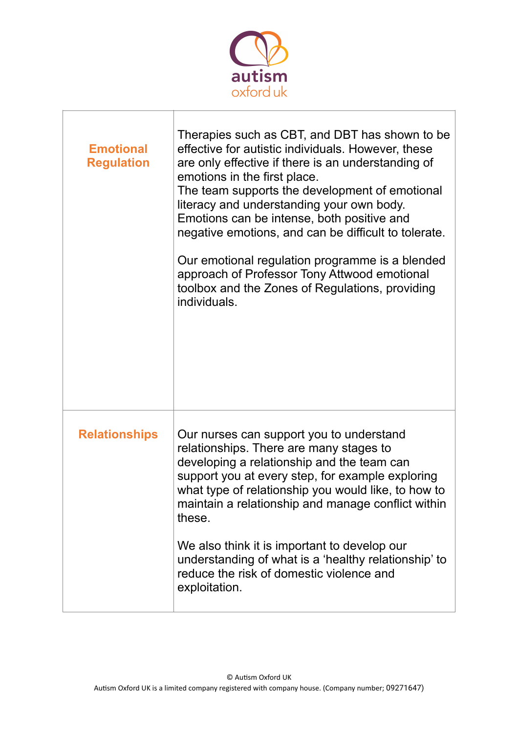

| <b>Emotional</b><br><b>Regulation</b> | Therapies such as CBT, and DBT has shown to be<br>effective for autistic individuals. However, these<br>are only effective if there is an understanding of<br>emotions in the first place.<br>The team supports the development of emotional<br>literacy and understanding your own body.<br>Emotions can be intense, both positive and<br>negative emotions, and can be difficult to tolerate.<br>Our emotional regulation programme is a blended<br>approach of Professor Tony Attwood emotional<br>toolbox and the Zones of Regulations, providing<br>individuals. |
|---------------------------------------|-----------------------------------------------------------------------------------------------------------------------------------------------------------------------------------------------------------------------------------------------------------------------------------------------------------------------------------------------------------------------------------------------------------------------------------------------------------------------------------------------------------------------------------------------------------------------|
| <b>Relationships</b>                  | Our nurses can support you to understand<br>relationships. There are many stages to<br>developing a relationship and the team can<br>support you at every step, for example exploring<br>what type of relationship you would like, to how to<br>maintain a relationship and manage conflict within<br>these.<br>We also think it is important to develop our<br>understanding of what is a 'healthy relationship' to<br>reduce the risk of domestic violence and<br>exploitation.                                                                                     |